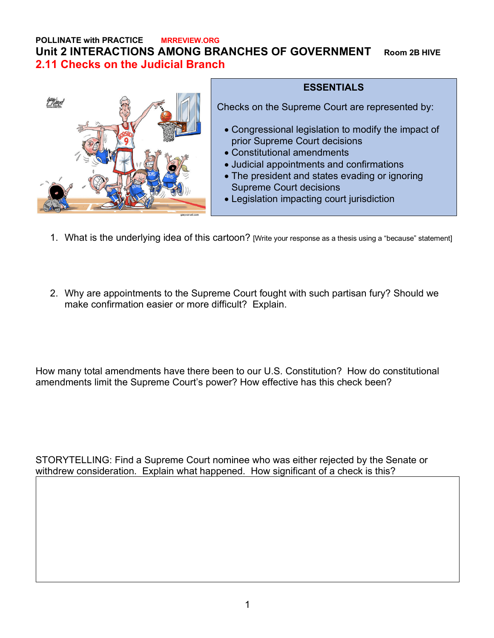## **POLLINATE with PRACTICE MRREVIEW.ORG Unit 2 INTERACTIONS AMONG BRANCHES OF GOVERNMENT Room 2B HIVE 2.11 Checks on the Judicial Branch**



## **ESSENTIALS**

Checks on the Supreme Court are represented by:

- Congressional legislation to modify the impact of prior Supreme Court decisions
- Constitutional amendments
- Judicial appointments and confirmations
- The president and states evading or ignoring Supreme Court decisions
- Legislation impacting court jurisdiction
- 1. What is the underlying idea of this cartoon? [Write your response as a thesis using a "because" statement]
- 2. Why are appointments to the Supreme Court fought with such partisan fury? Should we make confirmation easier or more difficult? Explain.

How many total amendments have there been to our U.S. Constitution? How do constitutional amendments limit the Supreme Court's power? How effective has this check been?

STORYTELLING: Find a Supreme Court nominee who was either rejected by the Senate or withdrew consideration. Explain what happened. How significant of a check is this?